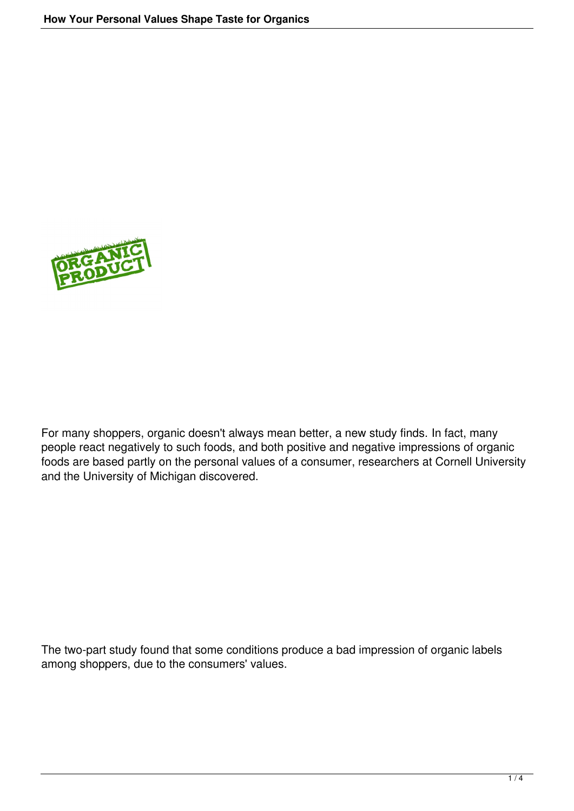

For many shoppers, organic doesn't always mean better, a new study finds. In fact, many people react negatively to such foods, and both positive and negative impressions of organic foods are based partly on the personal values of a consumer, researchers at Cornell University and the University of Michigan discovered.

The two-part study found that some conditions produce a bad impression of organic labels among shoppers, due to the consumers' values.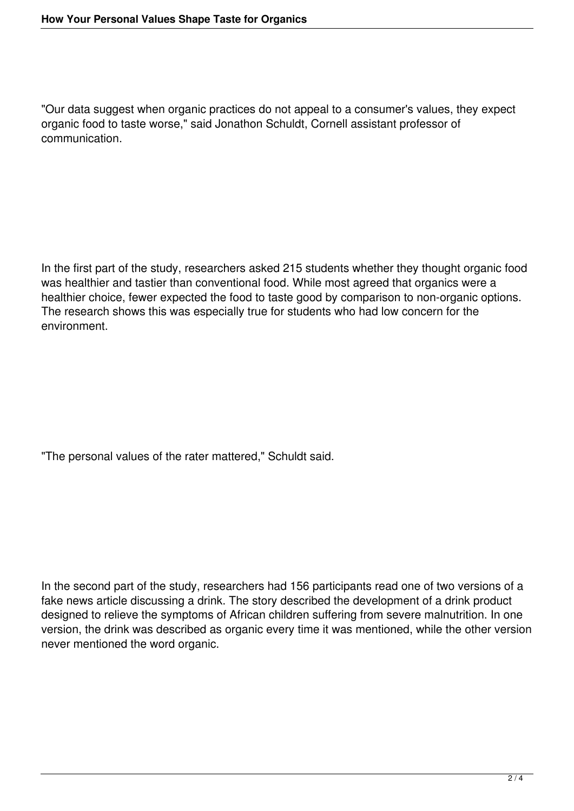"Our data suggest when organic practices do not appeal to a consumer's values, they expect organic food to taste worse," said Jonathon Schuldt, Cornell assistant professor of communication.

In the first part of the study, researchers asked 215 students whether they thought organic food was healthier and tastier than conventional food. While most agreed that organics were a healthier choice, fewer expected the food to taste good by comparison to non-organic options. The research shows this was especially true for students who had low concern for the environment.

"The personal values of the rater mattered," Schuldt said.

In the second part of the study, researchers had 156 participants read one of two versions of a fake news article discussing a drink. The story described the development of a drink product designed to relieve the symptoms of African children suffering from severe malnutrition. In one version, the drink was described as organic every time it was mentioned, while the other version never mentioned the word organic.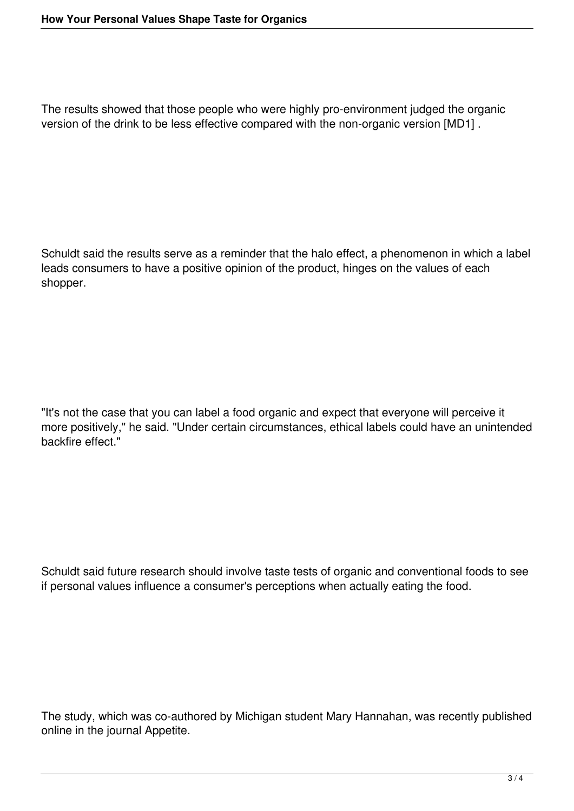The results showed that those people who were highly pro-environment judged the organic version of the drink to be less effective compared with the non-organic version [MD1] .

Schuldt said the results serve as a reminder that the halo effect, a phenomenon in which a label leads consumers to have a positive opinion of the product, hinges on the values of each shopper.

"It's not the case that you can label a food organic and expect that everyone will perceive it more positively," he said. "Under certain circumstances, ethical labels could have an unintended backfire effect."

Schuldt said future research should involve taste tests of organic and conventional foods to see if personal values influence a consumer's perceptions when actually eating the food.

The study, which was co-authored by Michigan student Mary Hannahan, was recently published online in the journal Appetite.